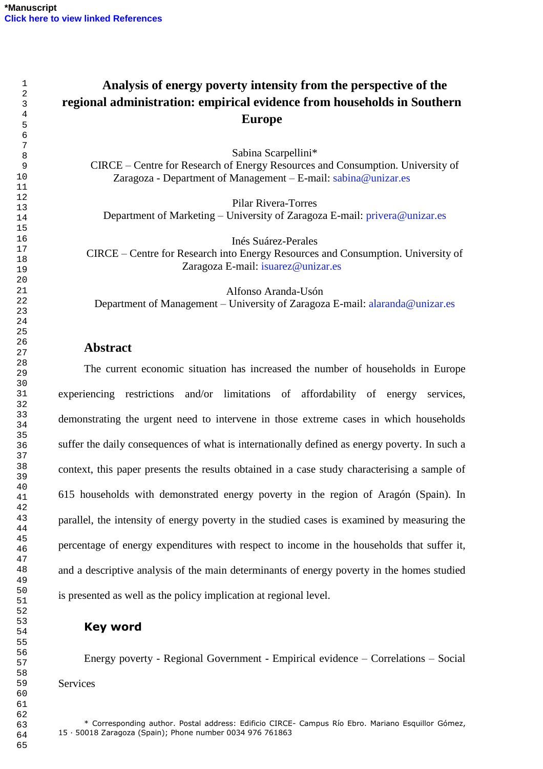# **Analysis of energy poverty intensity from the perspective of the regional administration: empirical evidence from households in Southern Europe**

Sabina Scarpellini\*

CIRCE – Centre for Research of Energy Resources and Consumption. University of Zaragoza - Department of Management – E-mail: [sabina@unizar.es](mailto:sabina@unizar.es)

Pilar Rivera-Torres

Department of Marketing – University of Zaragoza E-mail: [privera@unizar.es](mailto:privera@unizar.es)

Inés Suárez-Perales

CIRCE – Centre for Research into Energy Resources and Consumption. University of Zaragoza E-mail: [isuarez@unizar.es](mailto:isuarez@unizar.es)

Alfonso Aranda-Usón Department of Management – University of Zaragoza E-mail: [alaranda@unizar.es](mailto:alaranda@unizar.es)

## **Abstract**

The current economic situation has increased the number of households in Europe experiencing restrictions and/or limitations of affordability of energy services, demonstrating the urgent need to intervene in those extreme cases in which households suffer the daily consequences of what is internationally defined as energy poverty. In such a context, this paper presents the results obtained in a case study characterising a sample of 615 households with demonstrated energy poverty in the region of Aragón (Spain). In parallel, the intensity of energy poverty in the studied cases is examined by measuring the percentage of energy expenditures with respect to income in the households that suffer it, and a descriptive analysis of the main determinants of energy poverty in the homes studied is presented as well as the policy implication at regional level.

## **Key word**

Energy poverty - Regional Government - Empirical evidence – Correlations – Social **Services**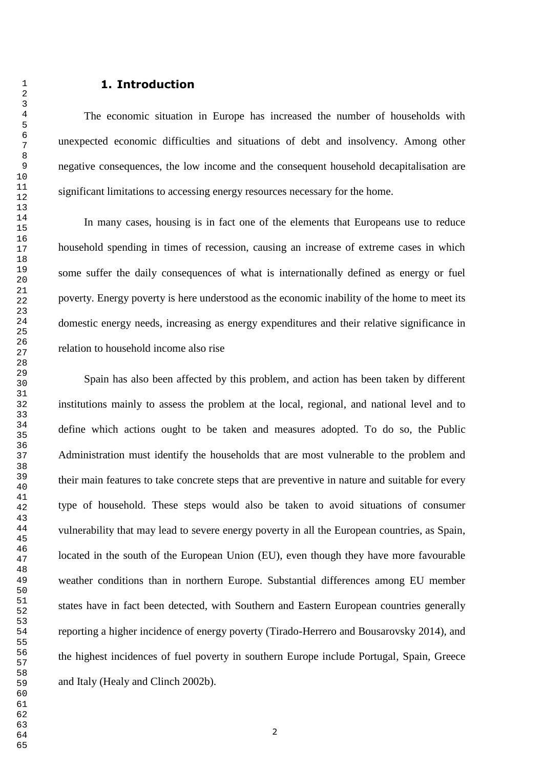#### **1. Introduction**

The economic situation in Europe has increased the number of households with unexpected economic difficulties and situations of debt and insolvency. Among other negative consequences, the low income and the consequent household decapitalisation are significant limitations to accessing energy resources necessary for the home.

In many cases, housing is in fact one of the elements that Europeans use to reduce household spending in times of recession, causing an increase of extreme cases in which some suffer the daily consequences of what is internationally defined as energy or fuel poverty. Energy poverty is here understood as the economic inability of the home to meet its domestic energy needs, increasing as energy expenditures and their relative significance in relation to household income also rise

Spain has also been affected by this problem, and action has been taken by different institutions mainly to assess the problem at the local, regional, and national level and to define which actions ought to be taken and measures adopted. To do so, the Public Administration must identify the households that are most vulnerable to the problem and their main features to take concrete steps that are preventive in nature and suitable for every type of household. These steps would also be taken to avoid situations of consumer vulnerability that may lead to severe energy poverty in all the European countries, as Spain, located in the south of the European Union (EU), even though they have more favourable weather conditions than in northern Europe. Substantial differences among EU member states have in fact been detected, with Southern and Eastern European countries generally reporting a higher incidence of energy poverty (Tirado-Herrero and Bousarovsky 2014), and the highest incidences of fuel poverty in southern Europe include Portugal, Spain, Greece and Italy (Healy and Clinch 2002b).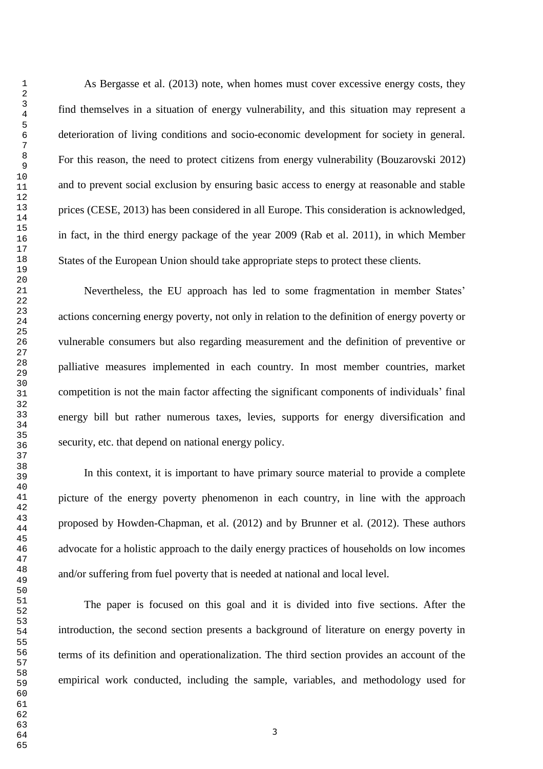As Bergasse et al. (2013) note, when homes must cover excessive energy costs, they find themselves in a situation of energy vulnerability, and this situation may represent a deterioration of living conditions and socio-economic development for society in general. For this reason, the need to protect citizens from energy vulnerability (Bouzarovski 2012) and to prevent social exclusion by ensuring basic access to energy at reasonable and stable prices (CESE, 2013) has been considered in all Europe. This consideration is acknowledged, in fact, in the third energy package of the year 2009 (Rab et al. 2011), in which Member States of the European Union should take appropriate steps to protect these clients.

Nevertheless, the EU approach has led to some fragmentation in member States" actions concerning energy poverty, not only in relation to the definition of energy poverty or vulnerable consumers but also regarding measurement and the definition of preventive or palliative measures implemented in each country. In most member countries, market competition is not the main factor affecting the significant components of individuals" final energy bill but rather numerous taxes, levies, supports for energy diversification and security, etc. that depend on national energy policy.

In this context, it is important to have primary source material to provide a complete picture of the energy poverty phenomenon in each country, in line with the approach proposed by Howden-Chapman, et al. (2012) and by Brunner et al. (2012). These authors advocate for a holistic approach to the daily energy practices of households on low incomes and/or suffering from fuel poverty that is needed at national and local level.

The paper is focused on this goal and it is divided into five sections. After the introduction, the second section presents a background of literature on energy poverty in terms of its definition and operationalization. The third section provides an account of the empirical work conducted, including the sample, variables, and methodology used for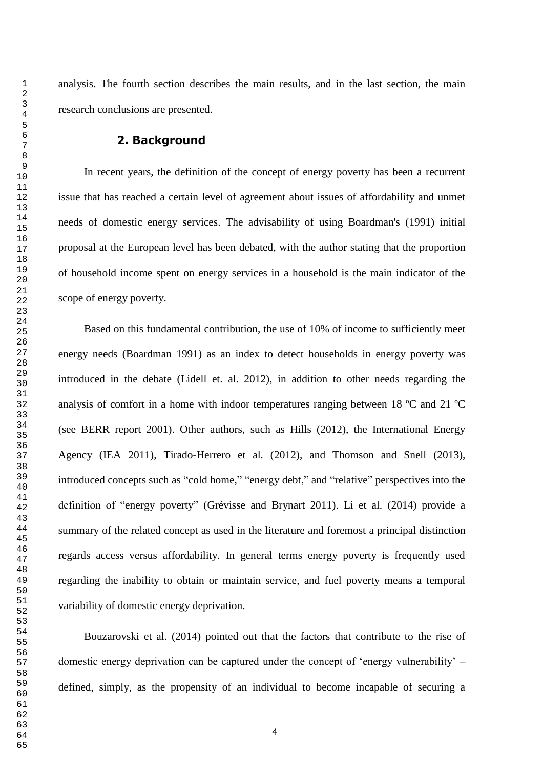analysis. The fourth section describes the main results, and in the last section, the main research conclusions are presented.

## **2. Background**

In recent years, the definition of the concept of energy poverty has been a recurrent issue that has reached a certain level of agreement about issues of affordability and unmet needs of domestic energy services. The advisability of using Boardman's (1991) initial proposal at the European level has been debated, with the author stating that the proportion of household income spent on energy services in a household is the main indicator of the scope of energy poverty.

Based on this fundamental contribution, the use of 10% of income to sufficiently meet energy needs (Boardman 1991) as an index to detect households in energy poverty was introduced in the debate (Lidell et. al. 2012), in addition to other needs regarding the analysis of comfort in a home with indoor temperatures ranging between 18 ºC and 21 ºC (see BERR report 2001). Other authors, such as Hills (2012), the International Energy Agency (IEA 2011), Tirado-Herrero et al. (2012), and Thomson and Snell (2013), introduced concepts such as "cold home," "energy debt," and "relative" perspectives into the definition of "energy poverty" (Grévisse and Brynart 2011). Li et al. (2014) provide a summary of the related concept as used in the literature and foremost a principal distinction regards access versus affordability. In general terms energy poverty is frequently used regarding the inability to obtain or maintain service, and fuel poverty means a temporal variability of domestic energy deprivation.

Bouzarovski et al. (2014) pointed out that the factors that contribute to the rise of domestic energy deprivation can be captured under the concept of "energy vulnerability" – defined, simply, as the propensity of an individual to become incapable of securing a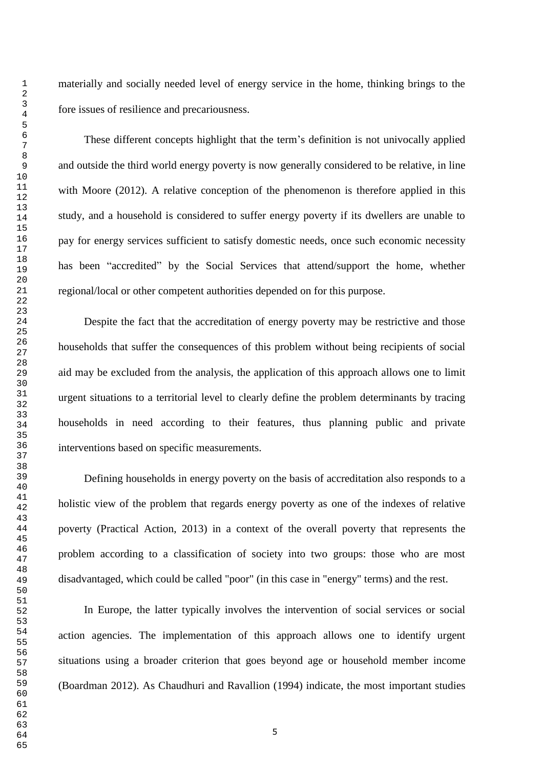materially and socially needed level of energy service in the home, thinking brings to the fore issues of resilience and precariousness.

These different concepts highlight that the term"s definition is not univocally applied and outside the third world energy poverty is now generally considered to be relative, in line with Moore (2012). A relative conception of the phenomenon is therefore applied in this study, and a household is considered to suffer energy poverty if its dwellers are unable to pay for energy services sufficient to satisfy domestic needs, once such economic necessity has been "accredited" by the Social Services that attend/support the home, whether regional/local or other competent authorities depended on for this purpose.

Despite the fact that the accreditation of energy poverty may be restrictive and those households that suffer the consequences of this problem without being recipients of social aid may be excluded from the analysis, the application of this approach allows one to limit urgent situations to a territorial level to clearly define the problem determinants by tracing households in need according to their features, thus planning public and private interventions based on specific measurements.

Defining households in energy poverty on the basis of accreditation also responds to a holistic view of the problem that regards energy poverty as one of the indexes of relative poverty (Practical Action, 2013) in a context of the overall poverty that represents the problem according to a classification of society into two groups: those who are most disadvantaged, which could be called "poor" (in this case in "energy" terms) and the rest.

In Europe, the latter typically involves the intervention of social services or social action agencies. The implementation of this approach allows one to identify urgent situations using a broader criterion that goes beyond age or household member income (Boardman 2012). As Chaudhuri and Ravallion (1994) indicate, the most important studies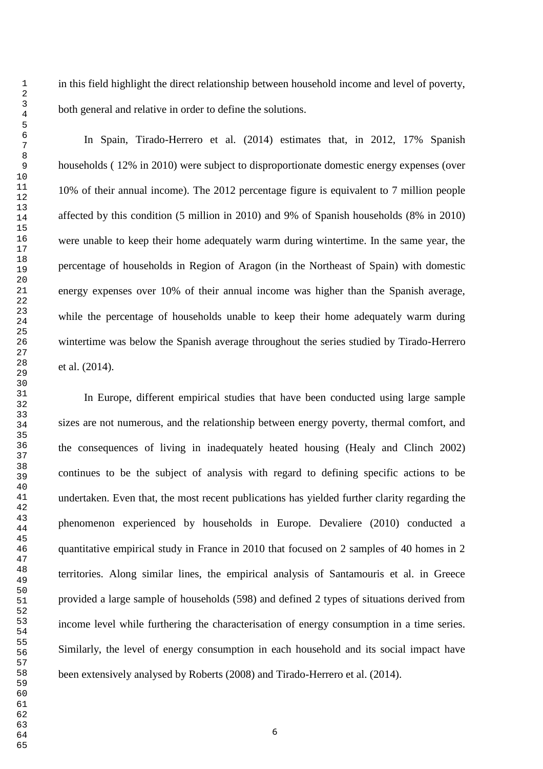In Spain, Tirado-Herrero et al. (2014) estimates that, in 2012, 17% Spanish households ( 12% in 2010) were subject to disproportionate domestic energy expenses (over 10% of their annual income). The 2012 percentage figure is equivalent to 7 million people affected by this condition (5 million in 2010) and 9% of Spanish households (8% in 2010) were unable to keep their home adequately warm during wintertime. In the same year, the percentage of households in Region of Aragon (in the Northeast of Spain) with domestic energy expenses over 10% of their annual income was higher than the Spanish average, while the percentage of households unable to keep their home adequately warm during wintertime was below the Spanish average throughout the series studied by Tirado-Herrero et al. (2014).

In Europe, different empirical studies that have been conducted using large sample sizes are not numerous, and the relationship between energy poverty, thermal comfort, and the consequences of living in inadequately heated housing (Healy and Clinch 2002) continues to be the subject of analysis with regard to defining specific actions to be undertaken. Even that, the most recent publications has yielded further clarity regarding the phenomenon experienced by households in Europe. Devaliere (2010) conducted a quantitative empirical study in France in 2010 that focused on 2 samples of 40 homes in 2 territories. Along similar lines, the empirical analysis of Santamouris et al. in Greece provided a large sample of households (598) and defined 2 types of situations derived from income level while furthering the characterisation of energy consumption in a time series. Similarly, the level of energy consumption in each household and its social impact have been extensively analysed by Roberts (2008) and Tirado-Herrero et al. (2014).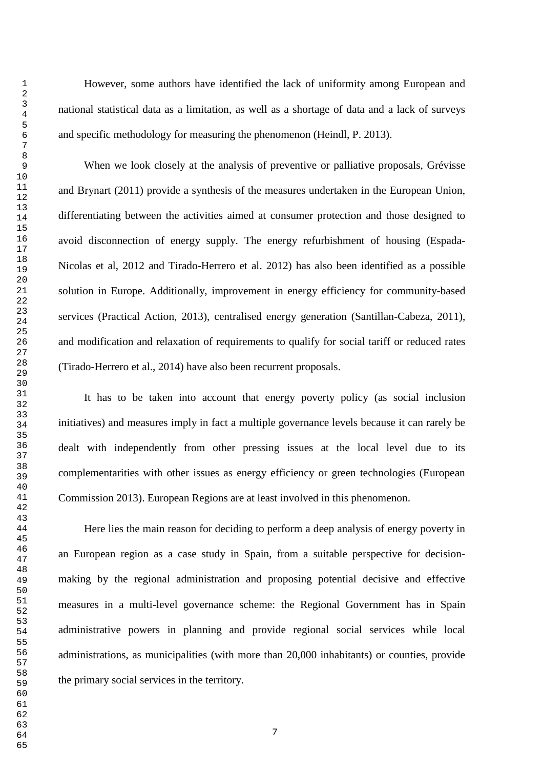However, some authors have identified the lack of uniformity among European and national statistical data as a limitation, as well as a shortage of data and a lack of surveys and specific methodology for measuring the phenomenon (Heindl, P. 2013).

When we look closely at the analysis of preventive or palliative proposals, Grévisse and Brynart (2011) provide a synthesis of the measures undertaken in the European Union, differentiating between the activities aimed at consumer protection and those designed to avoid disconnection of energy supply. The energy refurbishment of housing (Espada-Nicolas et al, 2012 and Tirado-Herrero et al. 2012) has also been identified as a possible solution in Europe. Additionally, improvement in energy efficiency for community-based services (Practical Action, 2013), centralised energy generation (Santillan-Cabeza, 2011), and modification and relaxation of requirements to qualify for social tariff or reduced rates (Tirado-Herrero et al., 2014) have also been recurrent proposals.

It has to be taken into account that energy poverty policy (as social inclusion initiatives) and measures imply in fact a multiple governance levels because it can rarely be dealt with independently from other pressing issues at the local level due to its complementarities with other issues as energy efficiency or green technologies (European Commission 2013). European Regions are at least involved in this phenomenon.

Here lies the main reason for deciding to perform a deep analysis of energy poverty in an European region as a case study in Spain, from a suitable perspective for decisionmaking by the regional administration and proposing potential decisive and effective measures in a multi-level governance scheme: the Regional Government has in Spain administrative powers in planning and provide regional social services while local administrations, as municipalities (with more than 20,000 inhabitants) or counties, provide the primary social services in the territory.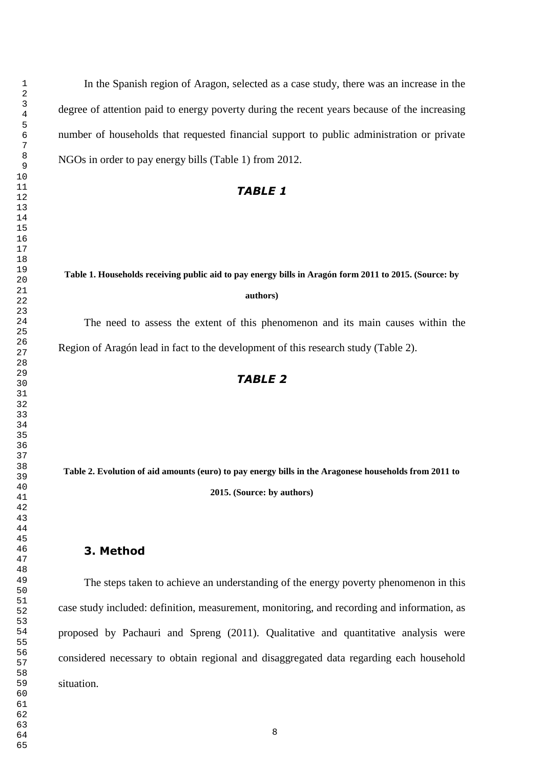In the Spanish region of Aragon, selected as a case study, there was an increase in the degree of attention paid to energy poverty during the recent years because of the increasing number of households that requested financial support to public administration or private NGOs in order to pay energy bills (Table 1) from 2012.

## *TABLE 1*

## **Table 1. Households receiving public aid to pay energy bills in Aragón form 2011 to 2015. (Source: by authors)**

The need to assess the extent of this phenomenon and its main causes within the Region of Aragón lead in fact to the development of this research study (Table 2).

## *TABLE 2*

**Table 2. Evolution of aid amounts (euro) to pay energy bills in the Aragonese households from 2011 to 2015. (Source: by authors)**

#### **3. Method**

The steps taken to achieve an understanding of the energy poverty phenomenon in this case study included: definition, measurement, monitoring, and recording and information, as proposed by Pachauri and Spreng (2011). Qualitative and quantitative analysis were considered necessary to obtain regional and disaggregated data regarding each household situation.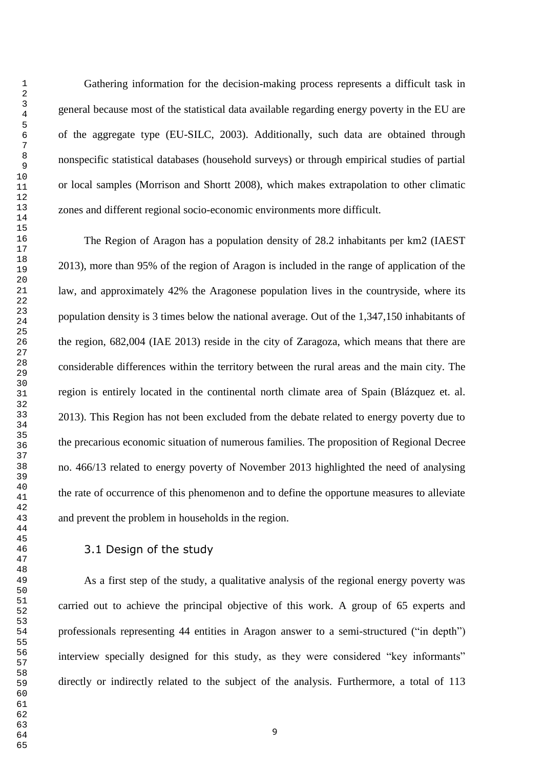Gathering information for the decision-making process represents a difficult task in general because most of the statistical data available regarding energy poverty in the EU are of the aggregate type (EU-SILC, 2003). Additionally, such data are obtained through nonspecific statistical databases (household surveys) or through empirical studies of partial or local samples (Morrison and Shortt 2008), which makes extrapolation to other climatic zones and different regional socio-economic environments more difficult.

The Region of Aragon has a population density of 28.2 inhabitants per km2 (IAEST 2013), more than 95% of the region of Aragon is included in the range of application of the law, and approximately 42% the Aragonese population lives in the countryside, where its population density is 3 times below the national average. Out of the 1,347,150 inhabitants of the region, 682,004 (IAE 2013) reside in the city of Zaragoza, which means that there are considerable differences within the territory between the rural areas and the main city. The region is entirely located in the continental north climate area of Spain (Blázquez et. al. 2013). This Region has not been excluded from the debate related to energy poverty due to the precarious economic situation of numerous families. The proposition of Regional Decree no. 466/13 related to energy poverty of November 2013 highlighted the need of analysing the rate of occurrence of this phenomenon and to define the opportune measures to alleviate and prevent the problem in households in the region.

#### 3.1 Design of the study

As a first step of the study, a qualitative analysis of the regional energy poverty was carried out to achieve the principal objective of this work. A group of 65 experts and professionals representing 44 entities in Aragon answer to a semi-structured ("in depth") interview specially designed for this study, as they were considered "key informants" directly or indirectly related to the subject of the analysis. Furthermore, a total of 113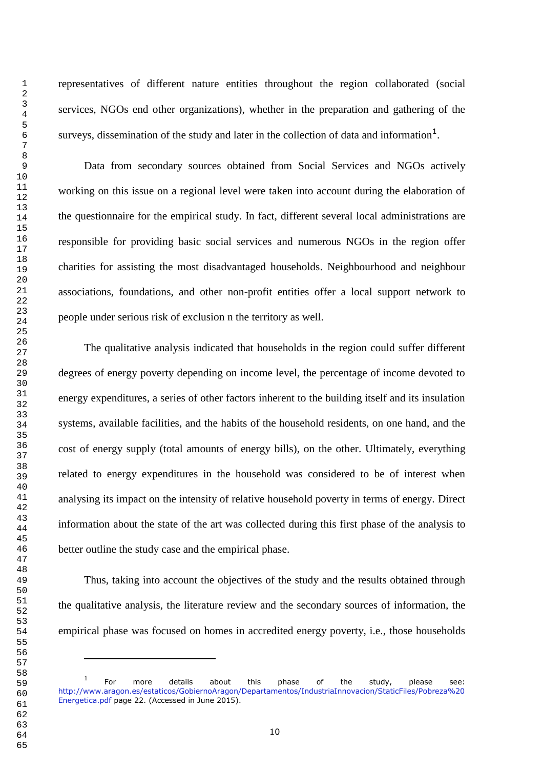i.

representatives of different nature entities throughout the region collaborated (social services, NGOs end other organizations), whether in the preparation and gathering of the surveys, dissemination of the study and later in the collection of data and information<sup>1</sup>.

Data from secondary sources obtained from Social Services and NGOs actively working on this issue on a regional level were taken into account during the elaboration of the questionnaire for the empirical study. In fact, different several local administrations are responsible for providing basic social services and numerous NGOs in the region offer charities for assisting the most disadvantaged households. Neighbourhood and neighbour associations, foundations, and other non-profit entities offer a local support network to people under serious risk of exclusion n the territory as well.

The qualitative analysis indicated that households in the region could suffer different degrees of energy poverty depending on income level, the percentage of income devoted to energy expenditures, a series of other factors inherent to the building itself and its insulation systems, available facilities, and the habits of the household residents, on one hand, and the cost of energy supply (total amounts of energy bills), on the other. Ultimately, everything related to energy expenditures in the household was considered to be of interest when analysing its impact on the intensity of relative household poverty in terms of energy. Direct information about the state of the art was collected during this first phase of the analysis to better outline the study case and the empirical phase.

Thus, taking into account the objectives of the study and the results obtained through the qualitative analysis, the literature review and the secondary sources of information, the empirical phase was focused on homes in accredited energy poverty, i.e., those households

 For more details about this phase of the study, please see: [http://www.aragon.es/estaticos/GobiernoAragon/Departamentos/IndustriaInnovacion/StaticFiles/Pobreza%20](http://www.aragon.es/estaticos/GobiernoAragon/Departamentos/IndustriaInnovacion/StaticFiles/Pobreza%20Energetica.pdf) [Energetica.pdf](http://www.aragon.es/estaticos/GobiernoAragon/Departamentos/IndustriaInnovacion/StaticFiles/Pobreza%20Energetica.pdf) page 22. (Accessed in June 2015).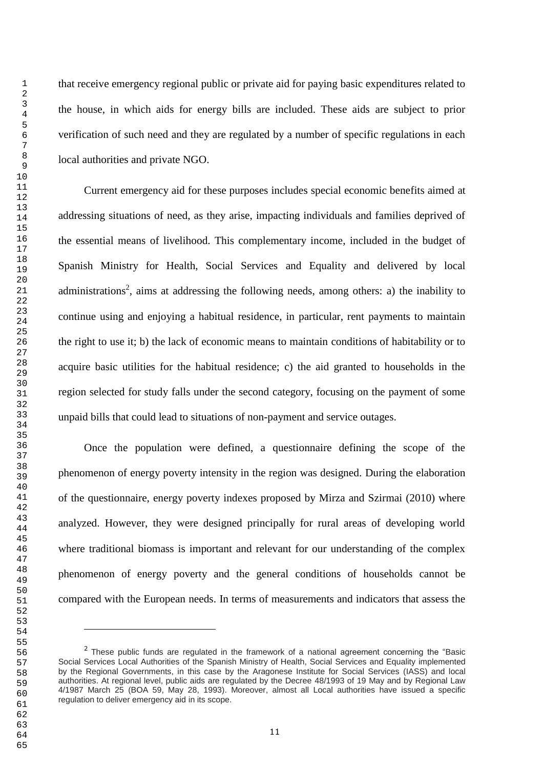i.

that receive emergency regional public or private aid for paying basic expenditures related to the house, in which aids for energy bills are included. These aids are subject to prior verification of such need and they are regulated by a number of specific regulations in each local authorities and private NGO.

Current emergency aid for these purposes includes special economic benefits aimed at addressing situations of need, as they arise, impacting individuals and families deprived of the essential means of livelihood. This complementary income, included in the budget of Spanish Ministry for Health, Social Services and Equality and delivered by local administrations<sup>2</sup>, aims at addressing the following needs, among others: a) the inability to continue using and enjoying a habitual residence, in particular, rent payments to maintain the right to use it; b) the lack of economic means to maintain conditions of habitability or to acquire basic utilities for the habitual residence; c) the aid granted to households in the region selected for study falls under the second category, focusing on the payment of some unpaid bills that could lead to situations of non-payment and service outages.

Once the population were defined, a questionnaire defining the scope of the phenomenon of energy poverty intensity in the region was designed. During the elaboration of the questionnaire, energy poverty indexes proposed by Mirza and Szirmai (2010) where analyzed. However, they were designed principally for rural areas of developing world where traditional biomass is important and relevant for our understanding of the complex phenomenon of energy poverty and the general conditions of households cannot be compared with the European needs. In terms of measurements and indicators that assess the

<sup>&</sup>lt;sup>2</sup> These public funds are regulated in the framework of a national agreement concerning the "Basic Social Services Local Authorities of the Spanish Ministry of Health, Social Services and Equality implemented by the Regional Governments, in this case by the Aragonese Institute for Social Services (IASS) and local authorities. At regional level, public aids are regulated by the Decree 48/1993 of 19 May and by Regional Law 4/1987 March 25 (BOA 59, May 28, 1993). Moreover, almost all Local authorities have issued a specific regulation to deliver emergency aid in its scope.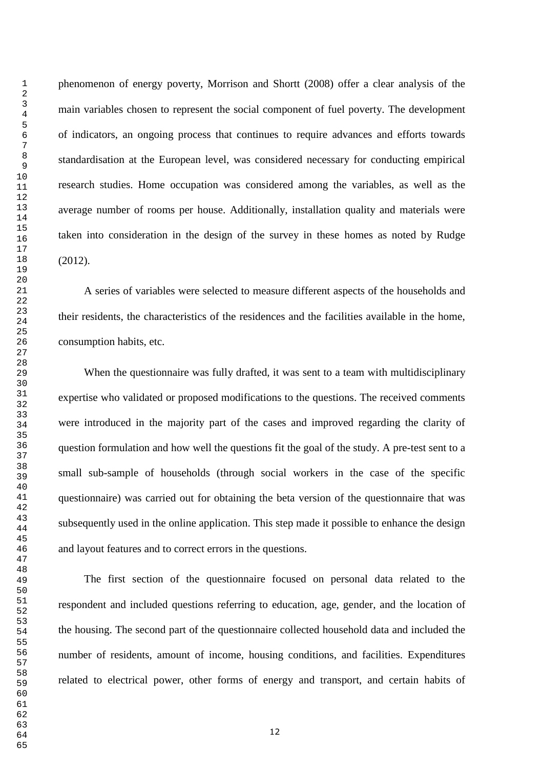phenomenon of energy poverty, Morrison and Shortt (2008) offer a clear analysis of the main variables chosen to represent the social component of fuel poverty. The development of indicators, an ongoing process that continues to require advances and efforts towards standardisation at the European level, was considered necessary for conducting empirical research studies. Home occupation was considered among the variables, as well as the average number of rooms per house. Additionally, installation quality and materials were taken into consideration in the design of the survey in these homes as noted by Rudge (2012).

A series of variables were selected to measure different aspects of the households and their residents, the characteristics of the residences and the facilities available in the home, consumption habits, etc.

When the questionnaire was fully drafted, it was sent to a team with multidisciplinary expertise who validated or proposed modifications to the questions. The received comments were introduced in the majority part of the cases and improved regarding the clarity of question formulation and how well the questions fit the goal of the study. A pre-test sent to a small sub-sample of households (through social workers in the case of the specific questionnaire) was carried out for obtaining the beta version of the questionnaire that was subsequently used in the online application. This step made it possible to enhance the design and layout features and to correct errors in the questions.

The first section of the questionnaire focused on personal data related to the respondent and included questions referring to education, age, gender, and the location of the housing. The second part of the questionnaire collected household data and included the number of residents, amount of income, housing conditions, and facilities. Expenditures related to electrical power, other forms of energy and transport, and certain habits of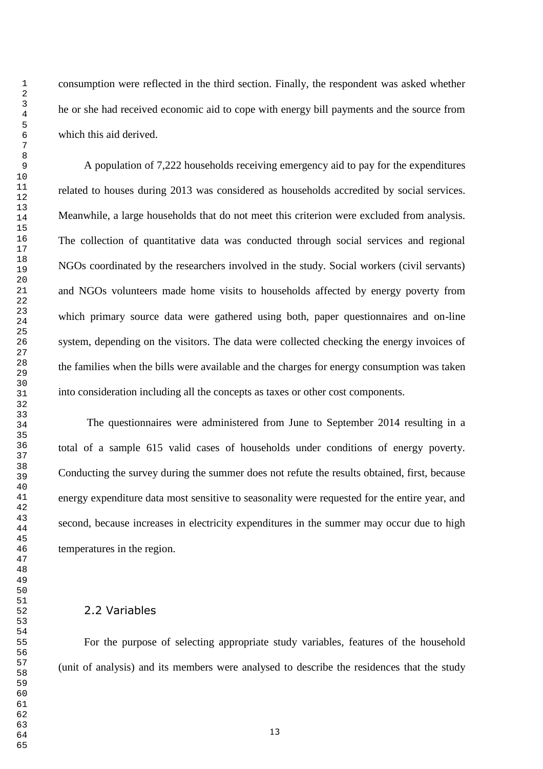consumption were reflected in the third section. Finally, the respondent was asked whether he or she had received economic aid to cope with energy bill payments and the source from which this aid derived.

A population of 7,222 households receiving emergency aid to pay for the expenditures related to houses during 2013 was considered as households accredited by social services. Meanwhile, a large households that do not meet this criterion were excluded from analysis. The collection of quantitative data was conducted through social services and regional NGOs coordinated by the researchers involved in the study. Social workers (civil servants) and NGOs volunteers made home visits to households affected by energy poverty from which primary source data were gathered using both, paper questionnaires and on-line system, depending on the visitors. The data were collected checking the energy invoices of the families when the bills were available and the charges for energy consumption was taken into consideration including all the concepts as taxes or other cost components.

The questionnaires were administered from June to September 2014 resulting in a total of a sample 615 valid cases of households under conditions of energy poverty. Conducting the survey during the summer does not refute the results obtained, first, because energy expenditure data most sensitive to seasonality were requested for the entire year, and second, because increases in electricity expenditures in the summer may occur due to high temperatures in the region.

#### 2.2 Variables

For the purpose of selecting appropriate study variables, features of the household (unit of analysis) and its members were analysed to describe the residences that the study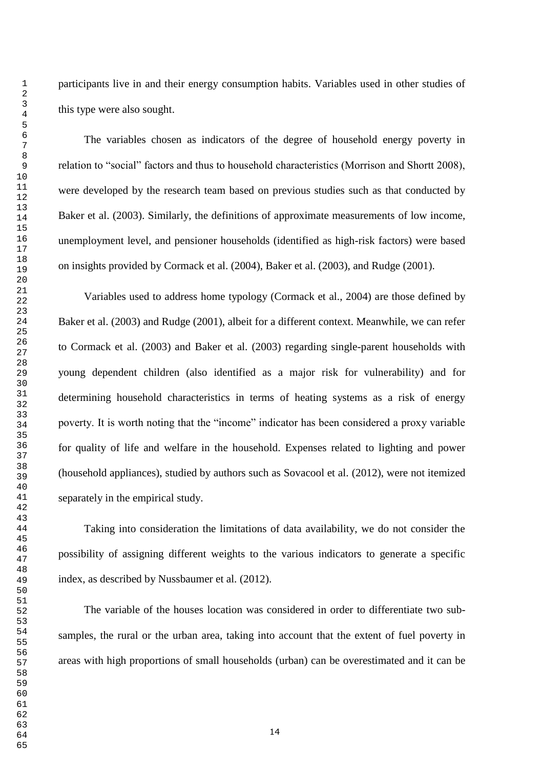participants live in and their energy consumption habits. Variables used in other studies of this type were also sought.

The variables chosen as indicators of the degree of household energy poverty in relation to "social" factors and thus to household characteristics (Morrison and Shortt 2008), were developed by the research team based on previous studies such as that conducted by Baker et al. (2003). Similarly, the definitions of approximate measurements of low income, unemployment level, and pensioner households (identified as high-risk factors) were based on insights provided by Cormack et al. (2004), Baker et al. (2003), and Rudge (2001).

Variables used to address home typology (Cormack et al., 2004) are those defined by Baker et al. (2003) and Rudge (2001), albeit for a different context. Meanwhile, we can refer to Cormack et al. (2003) and Baker et al. (2003) regarding single-parent households with young dependent children (also identified as a major risk for vulnerability) and for determining household characteristics in terms of heating systems as a risk of energy poverty. It is worth noting that the "income" indicator has been considered a proxy variable for quality of life and welfare in the household. Expenses related to lighting and power (household appliances), studied by authors such as Sovacool et al. (2012), were not itemized separately in the empirical study.

Taking into consideration the limitations of data availability, we do not consider the possibility of assigning different weights to the various indicators to generate a specific index, as described by Nussbaumer et al. (2012).

The variable of the houses location was considered in order to differentiate two subsamples, the rural or the urban area, taking into account that the extent of fuel poverty in areas with high proportions of small households (urban) can be overestimated and it can be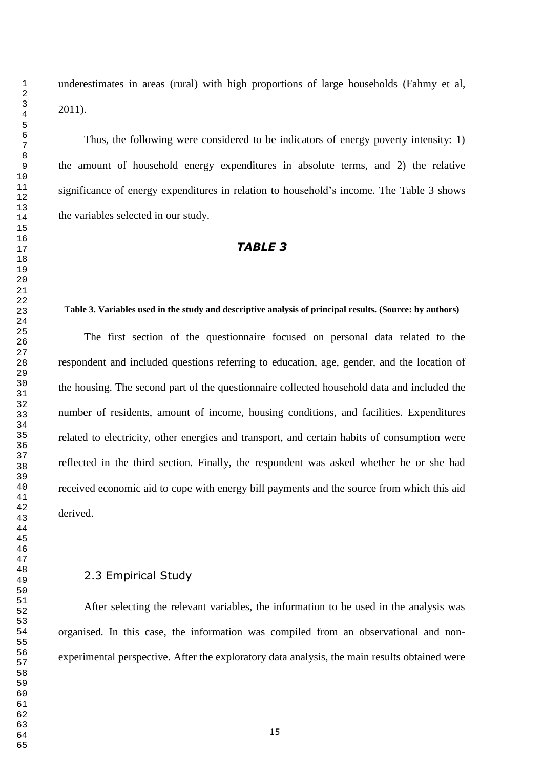underestimates in areas (rural) with high proportions of large households (Fahmy et al, 2011).

Thus, the following were considered to be indicators of energy poverty intensity: 1) the amount of household energy expenditures in absolute terms, and 2) the relative significance of energy expenditures in relation to household"s income. The Table 3 shows the variables selected in our study.

## *TABLE 3*

#### **Table 3. Variables used in the study and descriptive analysis of principal results. (Source: by authors)**

The first section of the questionnaire focused on personal data related to the respondent and included questions referring to education, age, gender, and the location of the housing. The second part of the questionnaire collected household data and included the number of residents, amount of income, housing conditions, and facilities. Expenditures related to electricity, other energies and transport, and certain habits of consumption were reflected in the third section. Finally, the respondent was asked whether he or she had received economic aid to cope with energy bill payments and the source from which this aid derived.

## 2.3 Empirical Study

After selecting the relevant variables, the information to be used in the analysis was organised. In this case, the information was compiled from an observational and nonexperimental perspective. After the exploratory data analysis, the main results obtained were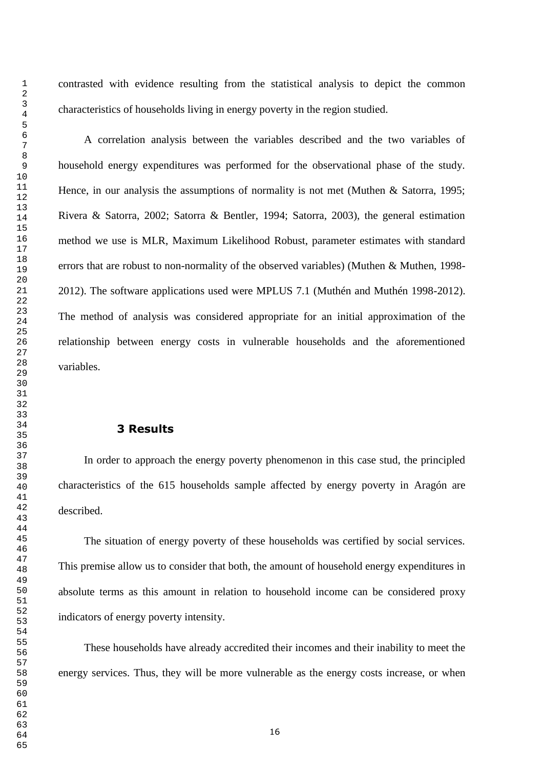contrasted with evidence resulting from the statistical analysis to depict the common characteristics of households living in energy poverty in the region studied.

A correlation analysis between the variables described and the two variables of household energy expenditures was performed for the observational phase of the study. Hence, in our analysis the assumptions of normality is not met (Muthen & Satorra, 1995; Rivera & Satorra, 2002; Satorra & Bentler, 1994; Satorra, 2003), the general estimation method we use is MLR, Maximum Likelihood Robust, parameter estimates with standard errors that are robust to non-normality of the observed variables) (Muthen & Muthen, 1998- 2012). The software applications used were MPLUS 7.1 (Muthén and Muthén 1998-2012). The method of analysis was considered appropriate for an initial approximation of the relationship between energy costs in vulnerable households and the aforementioned variables.

## **Results**

In order to approach the energy poverty phenomenon in this case stud, the principled characteristics of the 615 households sample affected by energy poverty in Aragón are described.

The situation of energy poverty of these households was certified by social services. This premise allow us to consider that both, the amount of household energy expenditures in absolute terms as this amount in relation to household income can be considered proxy indicators of energy poverty intensity.

These households have already accredited their incomes and their inability to meet the energy services. Thus, they will be more vulnerable as the energy costs increase, or when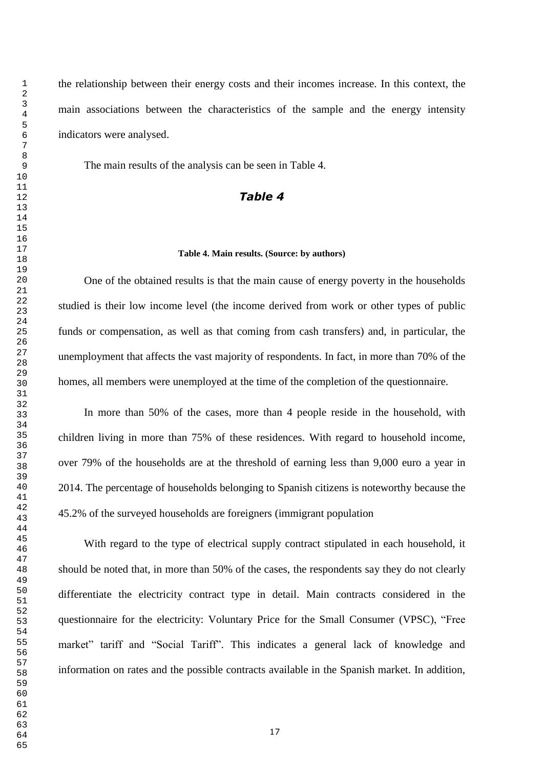the relationship between their energy costs and their incomes increase. In this context, the main associations between the characteristics of the sample and the energy intensity indicators were analysed.

The main results of the analysis can be seen in Table 4.

## *Table 4*

#### **Table 4. Main results. (Source: by authors)**

One of the obtained results is that the main cause of energy poverty in the households studied is their low income level (the income derived from work or other types of public funds or compensation, as well as that coming from cash transfers) and, in particular, the unemployment that affects the vast majority of respondents. In fact, in more than 70% of the homes, all members were unemployed at the time of the completion of the questionnaire.

In more than 50% of the cases, more than 4 people reside in the household, with children living in more than 75% of these residences. With regard to household income, over 79% of the households are at the threshold of earning less than 9,000 euro a year in 2014. The percentage of households belonging to Spanish citizens is noteworthy because the 45.2% of the surveyed households are foreigners (immigrant population

With regard to the type of electrical supply contract stipulated in each household, it should be noted that, in more than 50% of the cases, the respondents say they do not clearly differentiate the electricity contract type in detail. Main contracts considered in the questionnaire for the electricity: Voluntary Price for the Small Consumer (VPSC), "Free market" tariff and "Social Tariff". This indicates a general lack of knowledge and information on rates and the possible contracts available in the Spanish market. In addition,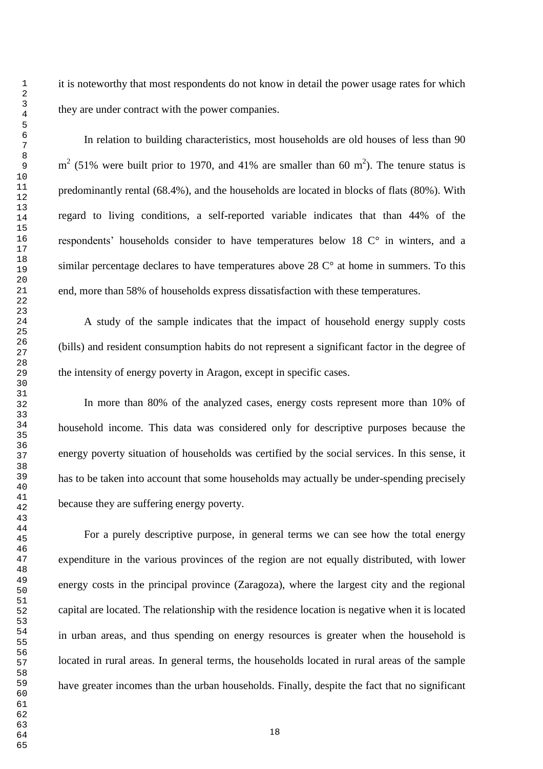it is noteworthy that most respondents do not know in detail the power usage rates for which they are under contract with the power companies.

In relation to building characteristics, most households are old houses of less than 90  $m<sup>2</sup>$  (51% were built prior to 1970, and 41% are smaller than 60 m<sup>2</sup>). The tenure status is predominantly rental (68.4%), and the households are located in blocks of flats (80%). With regard to living conditions, a self-reported variable indicates that than 44% of the respondents' households consider to have temperatures below  $18 \, \mathrm{C}^\circ$  in winters, and a similar percentage declares to have temperatures above  $28 \degree C^{\circ}$  at home in summers. To this end, more than 58% of households express dissatisfaction with these temperatures.

A study of the sample indicates that the impact of household energy supply costs (bills) and resident consumption habits do not represent a significant factor in the degree of the intensity of energy poverty in Aragon, except in specific cases.

In more than 80% of the analyzed cases, energy costs represent more than 10% of household income. This data was considered only for descriptive purposes because the energy poverty situation of households was certified by the social services. In this sense, it has to be taken into account that some households may actually be under-spending precisely because they are suffering energy poverty.

For a purely descriptive purpose, in general terms we can see how the total energy expenditure in the various provinces of the region are not equally distributed, with lower energy costs in the principal province (Zaragoza), where the largest city and the regional capital are located. The relationship with the residence location is negative when it is located in urban areas, and thus spending on energy resources is greater when the household is located in rural areas. In general terms, the households located in rural areas of the sample have greater incomes than the urban households. Finally, despite the fact that no significant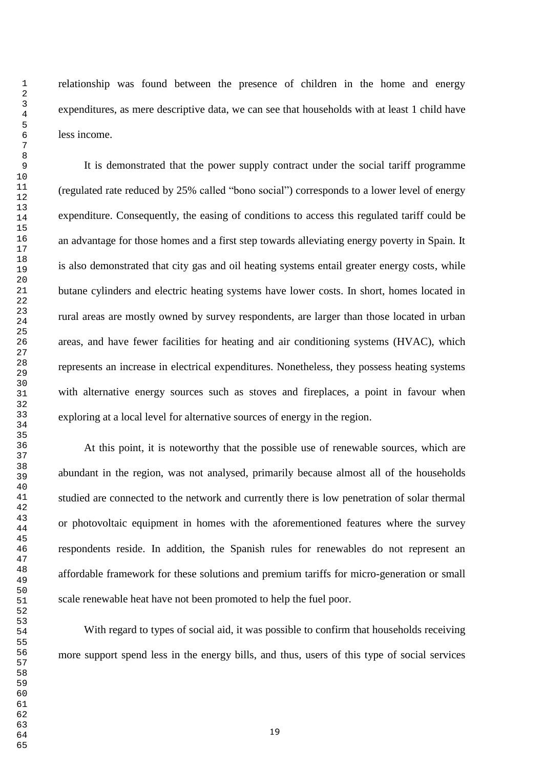relationship was found between the presence of children in the home and energy expenditures, as mere descriptive data, we can see that households with at least 1 child have less income.

It is demonstrated that the power supply contract under the social tariff programme (regulated rate reduced by 25% called "bono social") corresponds to a lower level of energy expenditure. Consequently, the easing of conditions to access this regulated tariff could be an advantage for those homes and a first step towards alleviating energy poverty in Spain. It is also demonstrated that city gas and oil heating systems entail greater energy costs, while butane cylinders and electric heating systems have lower costs. In short, homes located in rural areas are mostly owned by survey respondents, are larger than those located in urban areas, and have fewer facilities for heating and air conditioning systems (HVAC), which represents an increase in electrical expenditures. Nonetheless, they possess heating systems with alternative energy sources such as stoves and fireplaces, a point in favour when exploring at a local level for alternative sources of energy in the region.

At this point, it is noteworthy that the possible use of renewable sources, which are abundant in the region, was not analysed, primarily because almost all of the households studied are connected to the network and currently there is low penetration of solar thermal or photovoltaic equipment in homes with the aforementioned features where the survey respondents reside. In addition, the Spanish rules for renewables do not represent an affordable framework for these solutions and premium tariffs for micro-generation or small scale renewable heat have not been promoted to help the fuel poor.

With regard to types of social aid, it was possible to confirm that households receiving more support spend less in the energy bills, and thus, users of this type of social services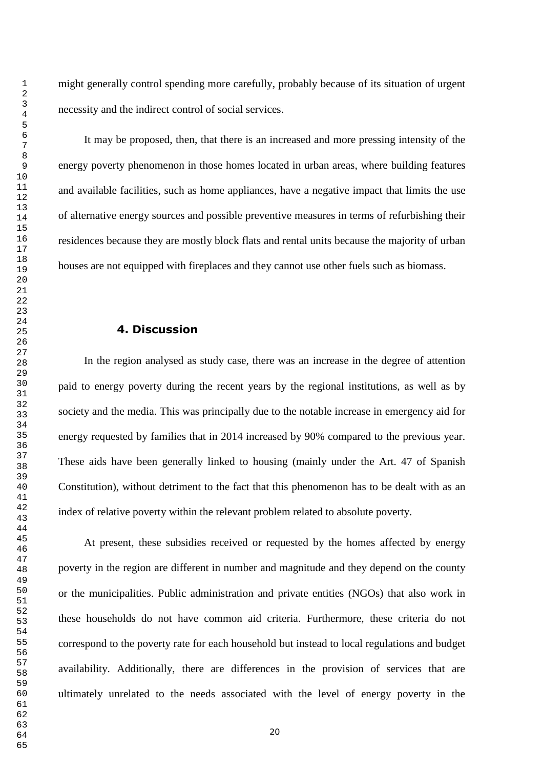might generally control spending more carefully, probably because of its situation of urgent necessity and the indirect control of social services.

It may be proposed, then, that there is an increased and more pressing intensity of the energy poverty phenomenon in those homes located in urban areas, where building features and available facilities, such as home appliances, have a negative impact that limits the use of alternative energy sources and possible preventive measures in terms of refurbishing their residences because they are mostly block flats and rental units because the majority of urban houses are not equipped with fireplaces and they cannot use other fuels such as biomass.

## **4. Discussion**

In the region analysed as study case, there was an increase in the degree of attention paid to energy poverty during the recent years by the regional institutions, as well as by society and the media. This was principally due to the notable increase in emergency aid for energy requested by families that in 2014 increased by 90% compared to the previous year. These aids have been generally linked to housing (mainly under the Art. 47 of Spanish Constitution), without detriment to the fact that this phenomenon has to be dealt with as an index of relative poverty within the relevant problem related to absolute poverty.

At present, these subsidies received or requested by the homes affected by energy poverty in the region are different in number and magnitude and they depend on the county or the municipalities. Public administration and private entities (NGOs) that also work in these households do not have common aid criteria. Furthermore, these criteria do not correspond to the poverty rate for each household but instead to local regulations and budget availability. Additionally, there are differences in the provision of services that are ultimately unrelated to the needs associated with the level of energy poverty in the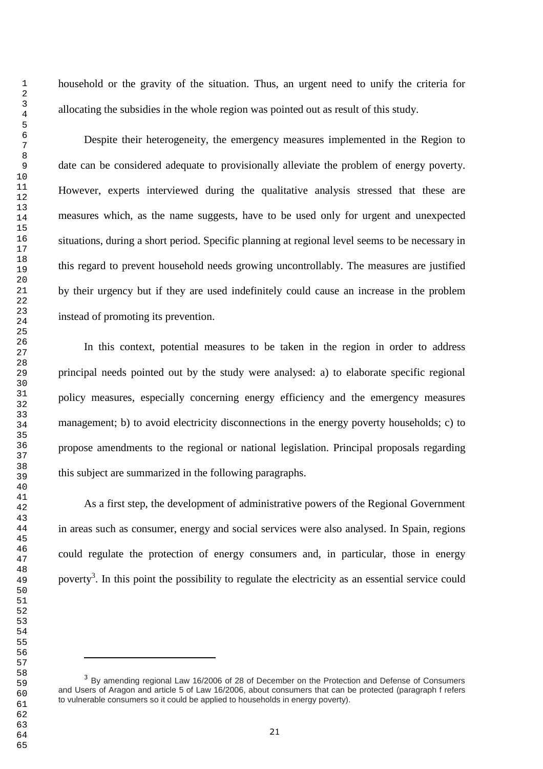i.

household or the gravity of the situation. Thus, an urgent need to unify the criteria for allocating the subsidies in the whole region was pointed out as result of this study.

Despite their heterogeneity, the emergency measures implemented in the Region to date can be considered adequate to provisionally alleviate the problem of energy poverty. However, experts interviewed during the qualitative analysis stressed that these are measures which, as the name suggests, have to be used only for urgent and unexpected situations, during a short period. Specific planning at regional level seems to be necessary in this regard to prevent household needs growing uncontrollably. The measures are justified by their urgency but if they are used indefinitely could cause an increase in the problem instead of promoting its prevention.

In this context, potential measures to be taken in the region in order to address principal needs pointed out by the study were analysed: a) to elaborate specific regional policy measures, especially concerning energy efficiency and the emergency measures management; b) to avoid electricity disconnections in the energy poverty households; c) to propose amendments to the regional or national legislation. Principal proposals regarding this subject are summarized in the following paragraphs.

As a first step, the development of administrative powers of the Regional Government in areas such as consumer, energy and social services were also analysed. In Spain, regions could regulate the protection of energy consumers and, in particular, those in energy poverty<sup>3</sup>. In this point the possibility to regulate the electricity as an essential service could

<sup>&</sup>lt;sup>3</sup> By amending regional Law 16/2006 of 28 of December on the Protection and Defense of Consumers and Users of Aragon and article 5 of Law 16/2006, about consumers that can be protected (paragraph f refers to vulnerable consumers so it could be applied to households in energy poverty).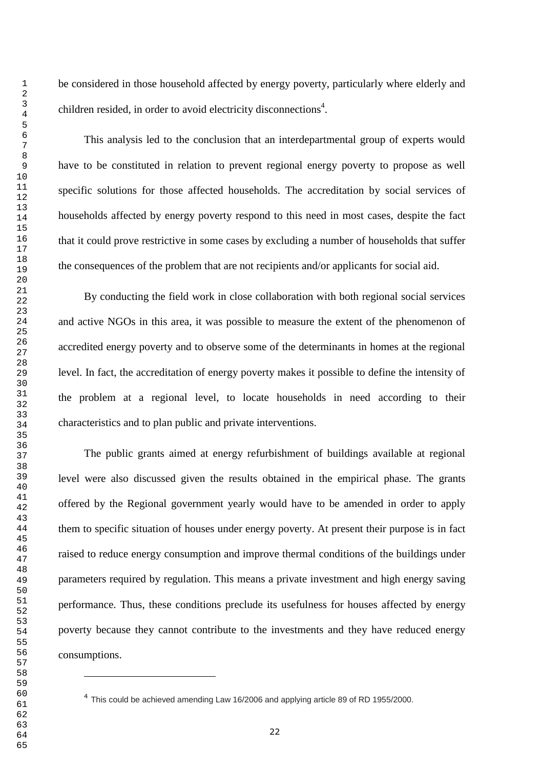i.

be considered in those household affected by energy poverty, particularly where elderly and children resided, in order to avoid electricity disconnections<sup>4</sup>.

This analysis led to the conclusion that an interdepartmental group of experts would have to be constituted in relation to prevent regional energy poverty to propose as well specific solutions for those affected households. The accreditation by social services of households affected by energy poverty respond to this need in most cases, despite the fact that it could prove restrictive in some cases by excluding a number of households that suffer the consequences of the problem that are not recipients and/or applicants for social aid.

By conducting the field work in close collaboration with both regional social services and active NGOs in this area, it was possible to measure the extent of the phenomenon of accredited energy poverty and to observe some of the determinants in homes at the regional level. In fact, the accreditation of energy poverty makes it possible to define the intensity of the problem at a regional level, to locate households in need according to their characteristics and to plan public and private interventions.

The public grants aimed at energy refurbishment of buildings available at regional level were also discussed given the results obtained in the empirical phase. The grants offered by the Regional government yearly would have to be amended in order to apply them to specific situation of houses under energy poverty. At present their purpose is in fact raised to reduce energy consumption and improve thermal conditions of the buildings under parameters required by regulation. This means a private investment and high energy saving performance. Thus, these conditions preclude its usefulness for houses affected by energy poverty because they cannot contribute to the investments and they have reduced energy consumptions.

 $<sup>4</sup>$  This could be achieved amending Law 16/2006 and applying article 89 of RD 1955/2000.</sup>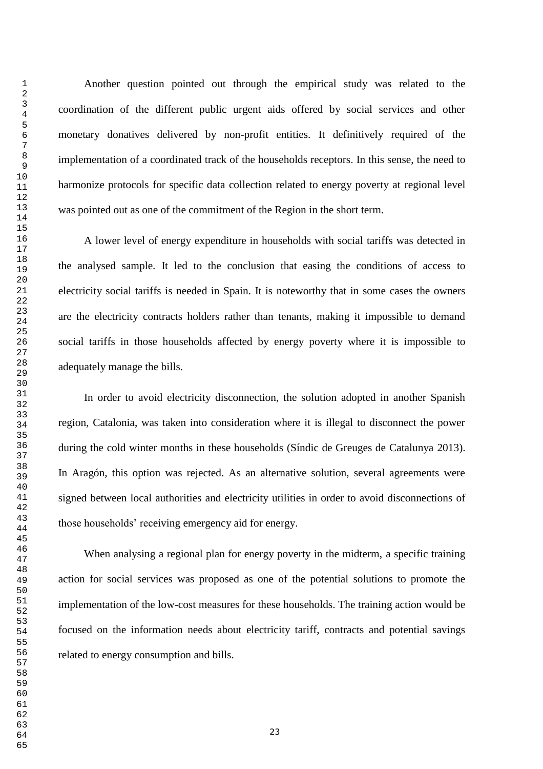Another question pointed out through the empirical study was related to the coordination of the different public urgent aids offered by social services and other monetary donatives delivered by non-profit entities. It definitively required of the implementation of a coordinated track of the households receptors. In this sense, the need to harmonize protocols for specific data collection related to energy poverty at regional level was pointed out as one of the commitment of the Region in the short term.

A lower level of energy expenditure in households with social tariffs was detected in the analysed sample. It led to the conclusion that easing the conditions of access to electricity social tariffs is needed in Spain. It is noteworthy that in some cases the owners are the electricity contracts holders rather than tenants, making it impossible to demand social tariffs in those households affected by energy poverty where it is impossible to adequately manage the bills.

In order to avoid electricity disconnection, the solution adopted in another Spanish region, Catalonia, was taken into consideration where it is illegal to disconnect the power during the cold winter months in these households (Síndic de Greuges de Catalunya 2013). In Aragón, this option was rejected. As an alternative solution, several agreements were signed between local authorities and electricity utilities in order to avoid disconnections of those households" receiving emergency aid for energy.

When analysing a regional plan for energy poverty in the midterm, a specific training action for social services was proposed as one of the potential solutions to promote the implementation of the low-cost measures for these households. The training action would be focused on the information needs about electricity tariff, contracts and potential savings related to energy consumption and bills.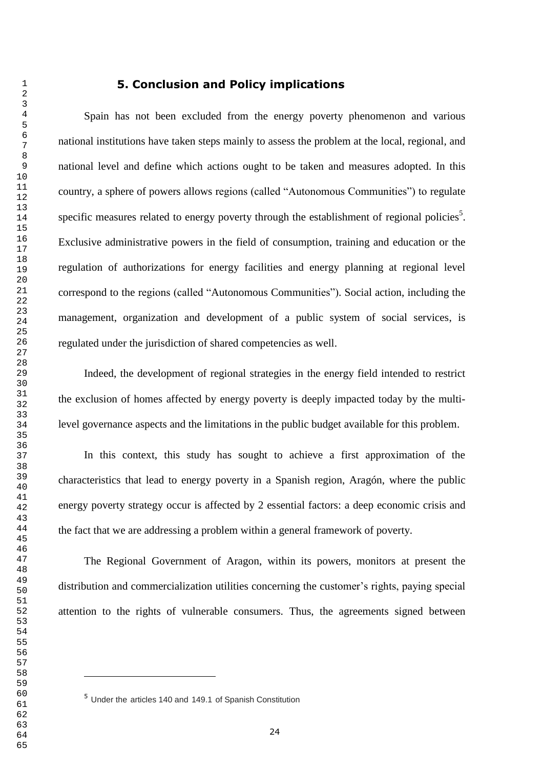Spain has not been excluded from the energy poverty phenomenon and various national institutions have taken steps mainly to assess the problem at the local, regional, and national level and define which actions ought to be taken and measures adopted. In this country, a sphere of powers allows regions (called "Autonomous Communities") to regulate specific measures related to energy poverty through the establishment of regional policies<sup>5</sup>. Exclusive administrative powers in the field of consumption, training and education or the regulation of authorizations for energy facilities and energy planning at regional level correspond to the regions (called "Autonomous Communities"). Social action, including the management, organization and development of a public system of social services, is regulated under the jurisdiction of shared competencies as well.

Indeed, the development of regional strategies in the energy field intended to restrict the exclusion of homes affected by energy poverty is deeply impacted today by the multilevel governance aspects and the limitations in the public budget available for this problem.

In this context, this study has sought to achieve a first approximation of the characteristics that lead to energy poverty in a Spanish region, Aragón, where the public energy poverty strategy occur is affected by 2 essential factors: a deep economic crisis and the fact that we are addressing a problem within a general framework of poverty.

The Regional Government of Aragon, within its powers, monitors at present the distribution and commercialization utilities concerning the customer's rights, paying special attention to the rights of vulnerable consumers. Thus, the agreements signed between

i.

Under the articles 140 and 149.1 of Spanish Constitution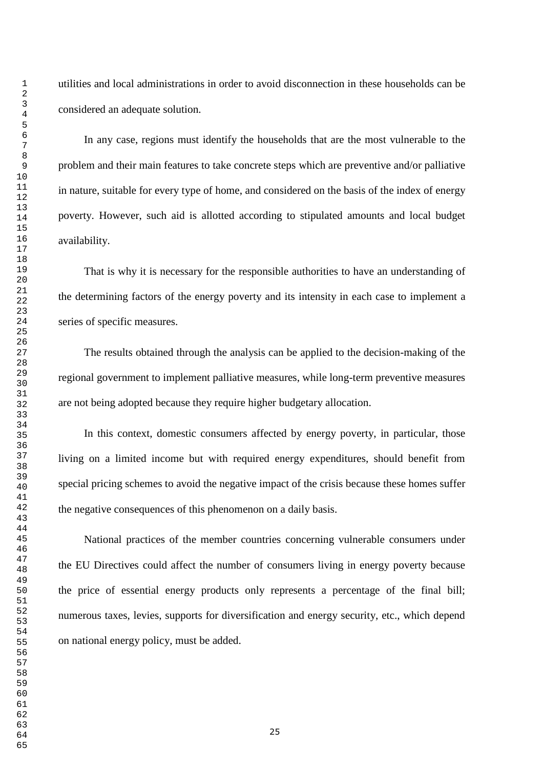utilities and local administrations in order to avoid disconnection in these households can be considered an adequate solution.

In any case, regions must identify the households that are the most vulnerable to the problem and their main features to take concrete steps which are preventive and/or palliative in nature, suitable for every type of home, and considered on the basis of the index of energy poverty. However, such aid is allotted according to stipulated amounts and local budget availability.

That is why it is necessary for the responsible authorities to have an understanding of the determining factors of the energy poverty and its intensity in each case to implement a series of specific measures.

The results obtained through the analysis can be applied to the decision-making of the regional government to implement palliative measures, while long-term preventive measures are not being adopted because they require higher budgetary allocation.

In this context, domestic consumers affected by energy poverty, in particular, those living on a limited income but with required energy expenditures, should benefit from special pricing schemes to avoid the negative impact of the crisis because these homes suffer the negative consequences of this phenomenon on a daily basis.

National practices of the member countries concerning vulnerable consumers under the EU Directives could affect the number of consumers living in energy poverty because the price of essential energy products only represents a percentage of the final bill; numerous taxes, levies, supports for diversification and energy security, etc., which depend on national energy policy, must be added.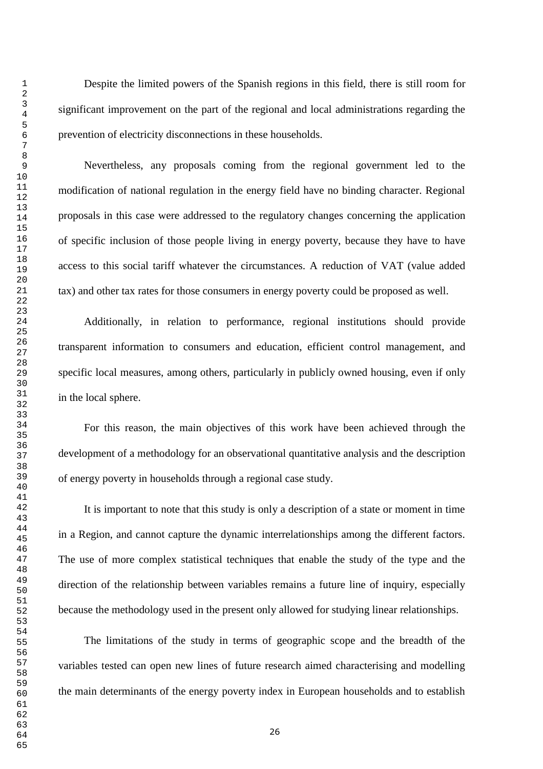Despite the limited powers of the Spanish regions in this field, there is still room for significant improvement on the part of the regional and local administrations regarding the prevention of electricity disconnections in these households.

Nevertheless, any proposals coming from the regional government led to the modification of national regulation in the energy field have no binding character. Regional proposals in this case were addressed to the regulatory changes concerning the application of specific inclusion of those people living in energy poverty, because they have to have access to this social tariff whatever the circumstances. A reduction of VAT (value added tax) and other tax rates for those consumers in energy poverty could be proposed as well.

Additionally, in relation to performance, regional institutions should provide transparent information to consumers and education, efficient control management, and specific local measures, among others, particularly in publicly owned housing, even if only in the local sphere.

For this reason, the main objectives of this work have been achieved through the development of a methodology for an observational quantitative analysis and the description of energy poverty in households through a regional case study.

It is important to note that this study is only a description of a state or moment in time in a Region, and cannot capture the dynamic interrelationships among the different factors. The use of more complex statistical techniques that enable the study of the type and the direction of the relationship between variables remains a future line of inquiry, especially because the methodology used in the present only allowed for studying linear relationships.

The limitations of the study in terms of geographic scope and the breadth of the variables tested can open new lines of future research aimed characterising and modelling the main determinants of the energy poverty index in European households and to establish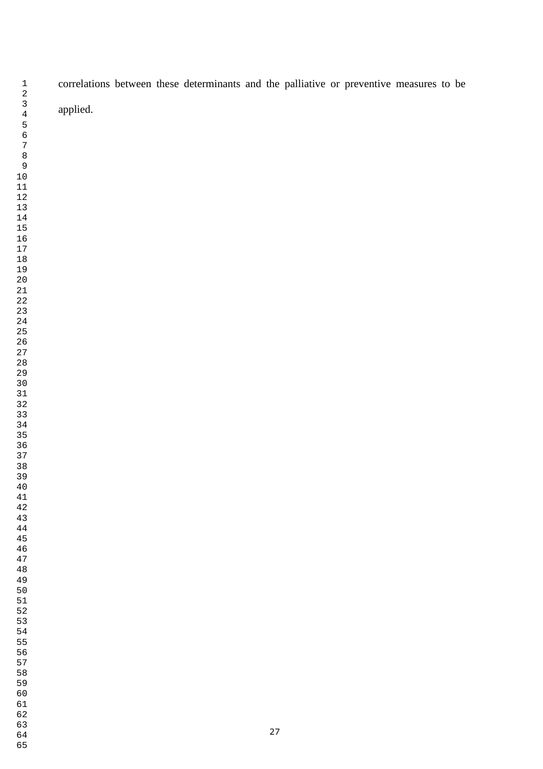correlations between these determinants and the palliative or preventive measures to be applied.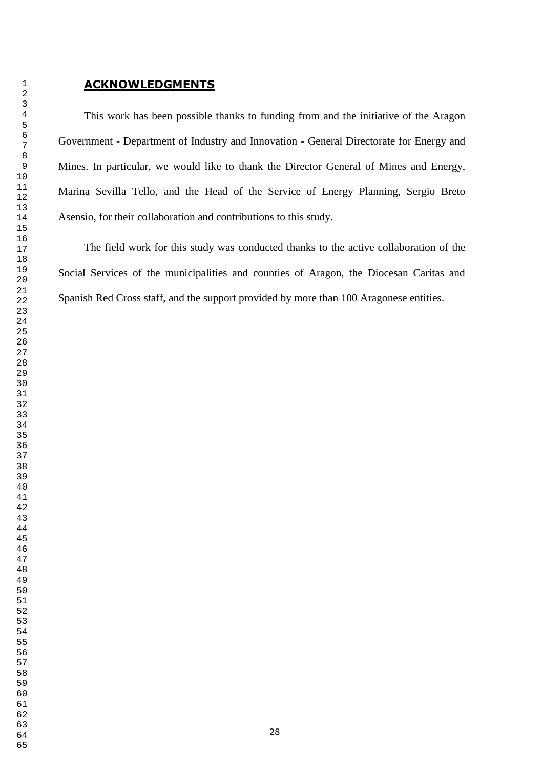This work has been possible thanks to funding from and the initiative of the Aragon Government - Department of Industry and Innovation - General Directorate for Energy and Mines. In particular, we would like to thank the Director General of Mines and Energy, Marina Sevilla Tello, and the Head of the Service of Energy Planning, Sergio Breto Asensio, for their collaboration and contributions to this study.

The field work for this study was conducted thanks to the active collaboration of the Social Services of the municipalities and counties of Aragon, the Diocesan Caritas and Spanish Red Cross staff, and the support provided by more than 100 Aragonese entities.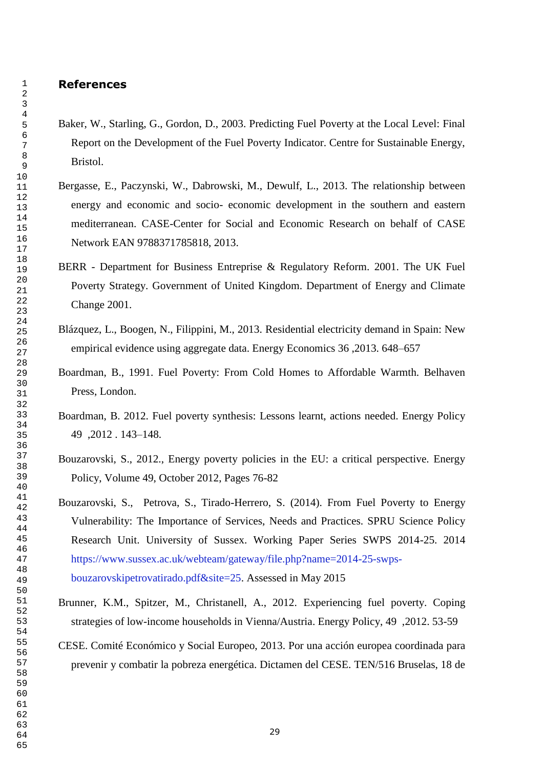## **References**

- Baker, W., Starling, G., Gordon, D., 2003. Predicting Fuel Poverty at the Local Level: Final Report on the Development of the Fuel Poverty Indicator. Centre for Sustainable Energy, Bristol.
- Bergasse, E., Paczynski, W., Dabrowski, M., Dewulf, L., 2013. The relationship between energy and economic and socio- economic development in the southern and eastern mediterranean. CASE-Center for Social and Economic Research on behalf of CASE Network EAN 9788371785818, 2013.
- BERR Department for Business Entreprise & Regulatory Reform. 2001. The UK Fuel Poverty Strategy. Government of United Kingdom. Department of Energy and Climate Change 2001.
- Blázquez, L., Boogen, N., Filippini, M., 2013. Residential electricity demand in Spain: New empirical evidence using aggregate data. Energy Economics 36 ,2013. 648–657
- Boardman, B., 1991. Fuel Poverty: From Cold Homes to Affordable Warmth. Belhaven Press, London.
- Boardman, B. 2012. Fuel poverty synthesis: Lessons learnt, actions needed. Energy Policy 49 ,2012 . 143–148.
- Bouzarovski, S., 2012., Energy poverty policies in the EU: a critical perspective. Energy Policy, Volume 49, October 2012, Pages 76-82
- Bouzarovski, S., Petrova, S., Tirado-Herrero, S. (2014). From Fuel Poverty to Energy Vulnerability: The Importance of Services, Needs and Practices. SPRU Science Policy Research Unit. University of Sussex. Working Paper Series SWPS 2014-25. 2014 [https://www.sussex.ac.uk/webteam/gateway/file.php?name=2014-25-swps](https://www.sussex.ac.uk/webteam/gateway/file.php?name=2014-25-swps-bouzarovskipetrovatirado.pdf&site=25)[bouzarovskipetrovatirado.pdf&site=25.](https://www.sussex.ac.uk/webteam/gateway/file.php?name=2014-25-swps-bouzarovskipetrovatirado.pdf&site=25) Assessed in May 2015
- Brunner, K.M., Spitzer, M., Christanell, A., 2012. [Experiencing fuel poverty. Coping](http://www.sciencedirect.com/science/article/pii/S0301421511009748)  [strategies of low-income households in Vienna/Austria.](http://www.sciencedirect.com/science/article/pii/S0301421511009748) Energy Policy, 49 ,2012. 53-59
- CESE. Comité Económico y Social Europeo, 2013. Por una acción europea coordinada para prevenir y combatir la pobreza energética. Dictamen del CESE. TEN/516 Bruselas, 18 de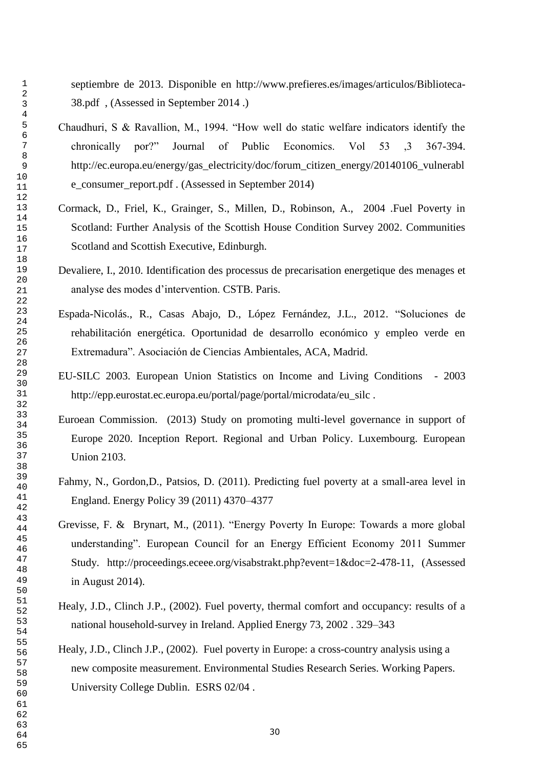septiembre de 2013. Disponible en [http://www.prefieres.es/images/articulos/Biblioteca-](http://www.prefieres.es/images/articulos/Biblioteca-38.pdf)[38.pdf](http://www.prefieres.es/images/articulos/Biblioteca-38.pdf) , (Assessed in September 2014 .)

- Chaudhuri, S & Ravallion, M., 1994. "How well do static welfare indicators identify the chronically por?" Journal of Public Economics. Vol 53 ,3 367-394. [http://ec.europa.eu/energy/gas\\_electricity/doc/forum\\_citizen\\_energy/20140106\\_vulnerabl](http://ec.europa.eu/energy/gas_electricity/doc/forum_citizen_energy/20140106_vulnerable_consumer_report.pdf) [e\\_consumer\\_report.pdf](http://ec.europa.eu/energy/gas_electricity/doc/forum_citizen_energy/20140106_vulnerable_consumer_report.pdf) . (Assessed in September 2014)
- Cormack, D., Friel, K., Grainger, S., Millen, D., Robinson, A., 2004 .Fuel Poverty in Scotland: Further Analysis of the Scottish House Condition Survey 2002. Communities Scotland and Scottish Executive, Edinburgh.
- Devaliere, I., 2010. Identification des processus de precarisation energetique des menages et analyse des modes d"intervention. CSTB. Paris.
- Espada-Nicolás., R., Casas Abajo, D., López Fernández, J.L., 2012. "Soluciones de rehabilitación energética. Oportunidad de desarrollo económico y empleo verde en Extremadura". Asociación de Ciencias Ambientales, ACA, Madrid.
- EU-SILC 2003. European Union Statistics on Income and Living Conditions 2003 http://epp.eurostat.ec.europa.eu/portal/page/portal/microdata/eu\_silc .
- Euroean Commission. (2013) Study on promoting multi-level governance in support of Europe 2020. Inception Report. Regional and Urban Policy. Luxembourg. European Union 2103.
- Fahmy, N., Gordon,D., Patsios, D. (2011). Predicting fuel poverty at a small-area level in England. Energy Policy 39 (2011) 4370–4377
- Grevisse, F. & Brynart, M., (2011). "Energy Poverty In Europe: Towards a more global understanding". European Council for an Energy Efficient Economy 2011 Summer Study. [http://proceedings.eceee.org/visabstrakt.php?event=1&doc=2-478-11,](http://proceedings.eceee.org/visabstrakt.php?event=1&doc=2-478-11) (Assessed in August 2014).
- Healy, J.D., Clinch J.P., (2002). Fuel poverty, thermal comfort and occupancy: results of a national household-survey in Ireland. Applied Energy 73, 2002 . 329–343
- Healy, J.D., Clinch J.P., (2002). Fuel poverty in Europe: a cross-country analysis using a new composite measurement. Environmental Studies Research Series. Working Papers. University College Dublin. ESRS 02/04 .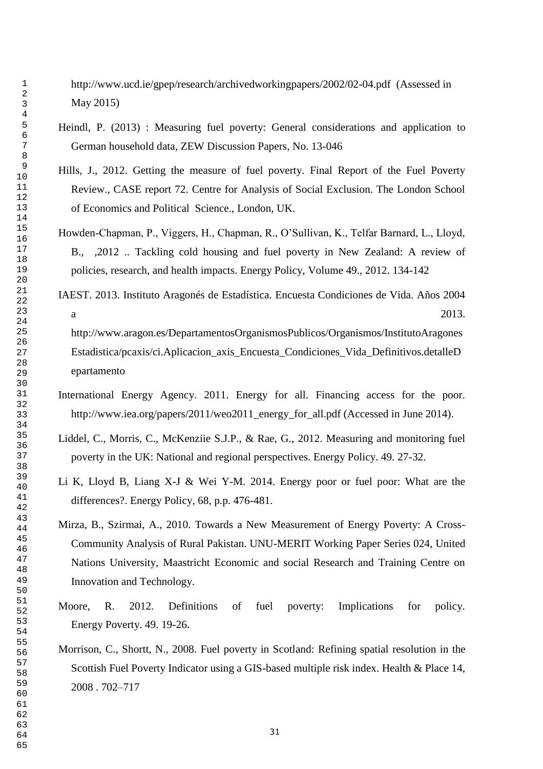<http://www.ucd.ie/gpep/research/archivedworkingpapers/2002/02-04.pdf>(Assessed in May 2015)

- Heindl, P. (2013) : Measuring fuel poverty: General considerations and application to German household data, ZEW Discussion Papers, No. 13-046
- Hills, J., 2012. Getting the measure of fuel poverty. Final Report of the Fuel Poverty Review., CASE report 72. Centre for Analysis of Social Exclusion. The London School of Economics and Political Science., London, UK.
- Howden-Chapman, P., Viggers, H., Chapman, R., O"Sullivan, K., Telfar Barnard, L., Lloyd, B., ,2012 .. [Tackling cold housing and fuel poverty in New Zealand: A review of](http://www.sciencedirect.com/science/article/pii/S0301421511007336)  [policies, research, and health impacts.](http://www.sciencedirect.com/science/article/pii/S0301421511007336) Energy Policy, Volume 49., 2012. 134-142
- IAEST. 2013. Instituto Aragonés de Estadística. Encuesta Condiciones de Vida. Años 2004 a  $2013.$

[http://www.aragon.es/DepartamentosOrganismosPublicos/Organismos/InstitutoAragones](http://www.aragon.es/DepartamentosOrganismosPublicos/Organismos/InstitutoAragonesEstadistica/pcaxis/ci.Aplicacion_axis_Encuesta_Condiciones_Vida_Definitivos.detalleDepartamento) [Estadistica/pcaxis/ci.Aplicacion\\_axis\\_Encuesta\\_Condiciones\\_Vida\\_Definitivos.detalleD](http://www.aragon.es/DepartamentosOrganismosPublicos/Organismos/InstitutoAragonesEstadistica/pcaxis/ci.Aplicacion_axis_Encuesta_Condiciones_Vida_Definitivos.detalleDepartamento) [epartamento](http://www.aragon.es/DepartamentosOrganismosPublicos/Organismos/InstitutoAragonesEstadistica/pcaxis/ci.Aplicacion_axis_Encuesta_Condiciones_Vida_Definitivos.detalleDepartamento)

- International Energy Agency. 2011. Energy for all. Financing access for the poor. [http://www.iea.org/papers/2011/weo2011\\_energy\\_for\\_all.pdf](http://www.iea.org/papers/2011/weo2011_energy_for_all.pdf) (Accessed in June 2014).
- Liddel, C., Morris, C., McKenziie S.J.P., & Rae, G., 2012. Measuring and monitoring fuel poverty in the UK: National and regional perspectives. Energy Policy. 49. 27-32.
- Li K, Lloyd B, Liang X-J & Wei Y-M. 2014. Energy poor or fuel poor: What are the differences?. Energy Policy, 68, p.p. 476-481.
- Mirza, B., Szirmai, A., 2010. Towards a New Measurement of Energy Poverty: A Cross-Community Analysis of Rural Pakistan. UNU-MERIT Working Paper Series 024, United Nations University, Maastricht Economic and social Research and Training Centre on Innovation and Technology.
- Moore, R. 2012. Definitions of fuel poverty: Implications for policy. Energy Poverty. 49. 19-26.
- Morrison, C., Shortt, N., 2008. Fuel poverty in Scotland: Refining spatial resolution in the Scottish Fuel Poverty Indicator using a GIS-based multiple risk index. Health & Place 14, 2008 . 702–717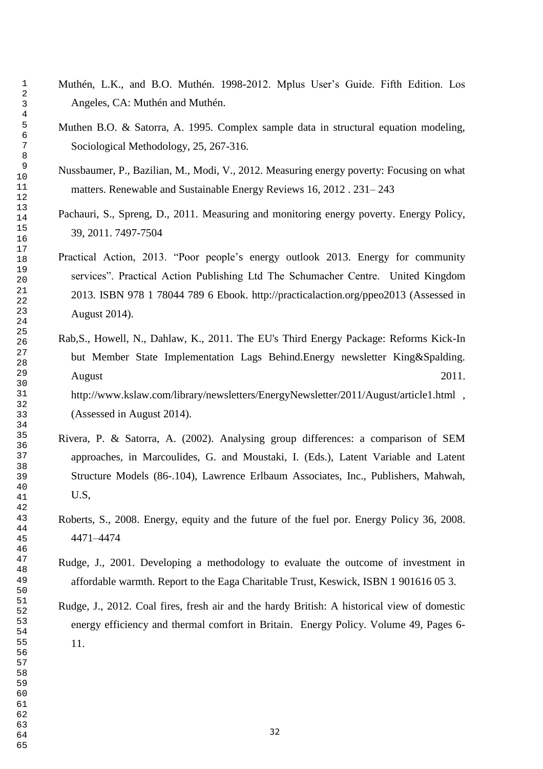- Muthén, L.K., and B.O. Muthén. 1998-2012. Mplus User's Guide. Fifth Edition. Los Angeles, CA: Muthén and Muthén.
- Muthen B.O. & Satorra, A. 1995. Complex sample data in structural equation modeling, Sociological Methodology, 25, 267-316.
- Nussbaumer, P., Bazilian, M., Modi, V., 2012. Measuring energy poverty: Focusing on what matters. Renewable and Sustainable Energy Reviews 16, 2012 . 231– 243
- Pachauri, S., Spreng, D., 2011. [Measuring and monitoring energy poverty.](http://www.sciencedirect.com/science/article/pii/S0301421511005313) Energy Policy, 39, 2011. 7497-7504
- Practical Action, 2013. "Poor people's energy outlook 2013. Energy for community services". Practical Action Publishing Ltd The Schumacher Centre. United Kingdom 2013. ISBN 978 1 78044 789 6 Ebook.<http://practicalaction.org/ppeo2013> (Assessed in August 2014).
- Rab,S., Howell, N., Dahlaw, K., 2011. The EU's Third Energy Package: Reforms Kick-In but Member State Implementation Lags Behind.Energy newsletter King&Spalding. August 2011. <http://www.kslaw.com/library/newsletters/EnergyNewsletter/2011/August/article1.html>, (Assessed in August 2014).
- Rivera, P. & Satorra, A. (2002). Analysing group differences: a comparison of SEM approaches, in Marcoulides, G. and Moustaki, I. (Eds.), Latent Variable and Latent Structure Models (86-.104), Lawrence Erlbaum Associates, Inc., Publishers, Mahwah, U.S,
- Roberts, S., 2008. Energy, equity and the future of the fuel por. Energy Policy 36, 2008. 4471–4474
- Rudge, J., 2001. Developing a methodology to evaluate the outcome of investment in affordable warmth. Report to the Eaga Charitable Trust, Keswick, ISBN 1 901616 05 3.
- Rudge, J., 2012. [Coal fires, fresh air and the hardy British: A historical view of domestic](http://www.sciencedirect.com/science/article/pii/S0301421511009621)  [energy efficiency and thermal comfort in Britain.](http://www.sciencedirect.com/science/article/pii/S0301421511009621) Energy Policy. Volume 49, Pages 6- 11.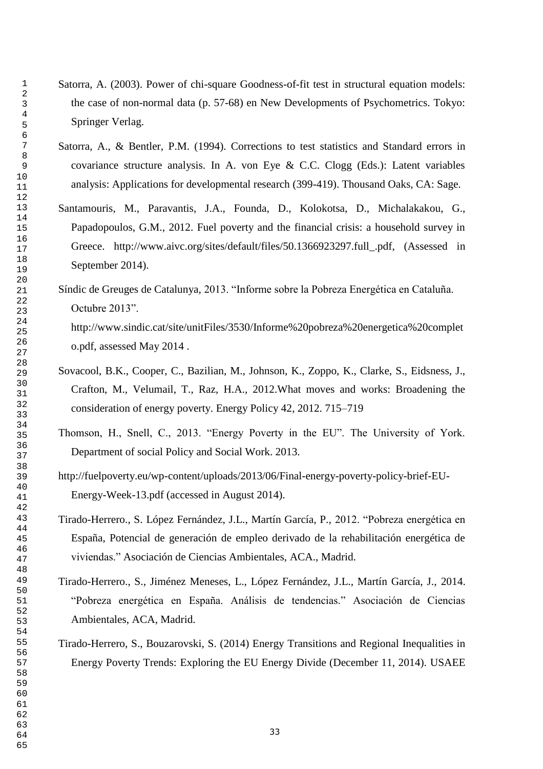- Satorra, A. (2003). Power of chi-square Goodness-of-fit test in structural equation models: the case of non-normal data (p. 57-68) en New Developments of Psychometrics. Tokyo: Springer Verlag.
- Satorra, A., & Bentler, P.M. (1994). Corrections to test statistics and Standard errors in covariance structure analysis. In A. von Eye & C.C. Clogg (Eds.): Latent variables analysis: Applications for developmental research (399-419). Thousand Oaks, CA: Sage.
- Santamouris, M., Paravantis, J.A., Founda, D., Kolokotsa, D., Michalakakou, G., Papadopoulos, G.M., 2012. Fuel poverty and the financial crisis: a household survey in Greece. [http://www.aivc.org/sites/default/files/50.1366923297.full\\_.pdf,](http://www.aivc.org/sites/default/files/50.1366923297.full_.pdf) (Assessed in September 2014).
- Síndic de Greuges de Catalunya, 2013. "Informe sobre la Pobreza Energética en Cataluña. Octubre 2013". [http://www.sindic.cat/site/unitFiles/3530/Informe%20pobreza%20energetica%20complet](http://www.sindic.cat/site/unitFiles/3530/Informe%20pobreza%20energetica%20completo.pdf)
- Sovacool, B.K., Cooper, C., Bazilian, M., Johnson, K., Zoppo, K., Clarke, S., Eidsness, J., Crafton, M., Velumail, T., Raz, H.A., 2012.What moves and works: Broadening the consideration of energy poverty. Energy Policy 42, 2012. 715–719
- Thomson, H., Snell, C., 2013. "Energy Poverty in the EU". The University of York. Department of social Policy and Social Work. 2013.
- [http://fuelpoverty.eu/wp-content/uploads/2013/06/Final-energy-poverty-policy-brief-EU-](http://fuelpoverty.eu/wp-content/uploads/2013/06/Final-energy-poverty-policy-brief-EU-Energy-Week-13.pdf)[Energy-Week-13.pdf](http://fuelpoverty.eu/wp-content/uploads/2013/06/Final-energy-poverty-policy-brief-EU-Energy-Week-13.pdf) (accessed in August 2014).
- Tirado-Herrero., S. López Fernández, J.L., Martín García, P., 2012. "Pobreza energética en España, Potencial de generación de empleo derivado de la rehabilitación energética de viviendas." Asociación de Ciencias Ambientales, ACA., Madrid.
- Tirado-Herrero., S., Jiménez Meneses, L., López Fernández, J.L., Martín García, J., 2014. "Pobreza energética en España. Análisis de tendencias." Asociación de Ciencias Ambientales, ACA, Madrid.
- Tirado-Herrero, S., Bouzarovski, S. (2014) Energy Transitions and Regional Inequalities in Energy Poverty Trends: Exploring the EU Energy Divide (December 11, 2014). USAEE

[o.pdf,](http://www.sindic.cat/site/unitFiles/3530/Informe%20pobreza%20energetica%20completo.pdf) assessed May 2014 .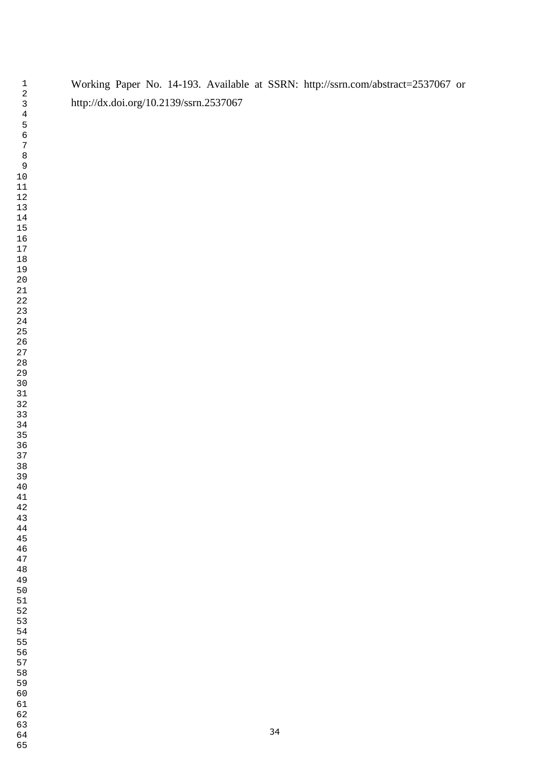Working Paper No. 14-193. Available at SSRN: <http://ssrn.com/abstract=2537067> or <http://dx.doi.org/10.2139/ssrn.2537067>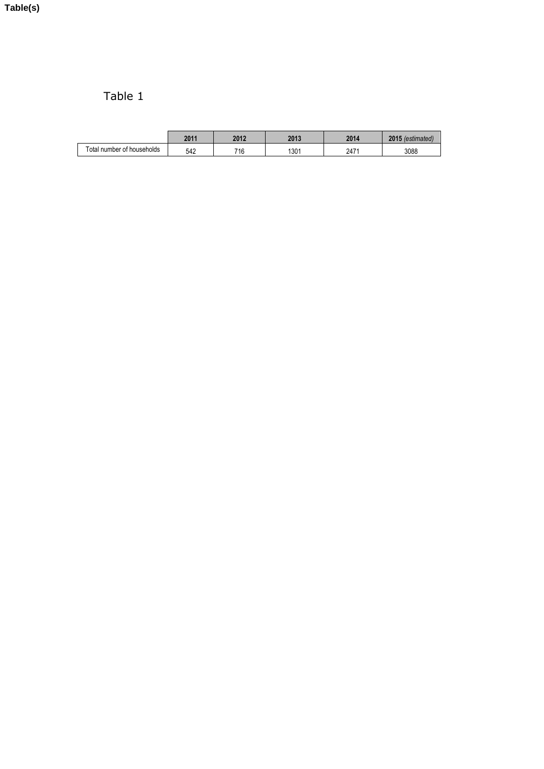# Table 1

|                            | 2011 | 2012<br>ZUIZ | 2013 | 2014 | 2015<br>$\circ$ otimoto |
|----------------------------|------|--------------|------|------|-------------------------|
| Total number of households | 542  | 740<br>ιU    | 1301 | 2471 | 3088                    |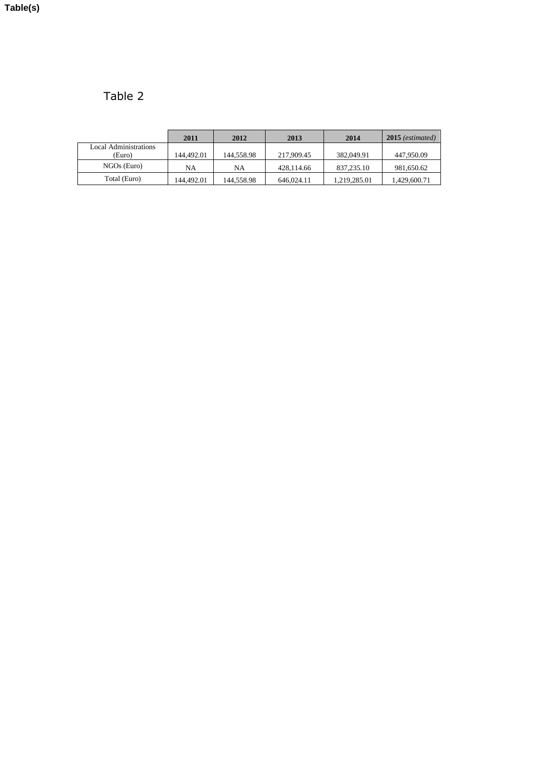Table 2

|                       | 2011       | 2012       | 2013       | 2014         | $2015$ (estimated) |
|-----------------------|------------|------------|------------|--------------|--------------------|
| Local Administrations |            |            |            |              |                    |
| (Euro)                | 144.492.01 | 144.558.98 | 217,909.45 | 382,049.91   | 447,950.09         |
| $NGOs$ (Euro)         | NA         | NA         | 428.114.66 | 837,235.10   | 981,650.62         |
| Total (Euro)          | 144.492.01 | 144.558.98 | 646,024.11 | 1.219.285.01 | 1,429,600.71       |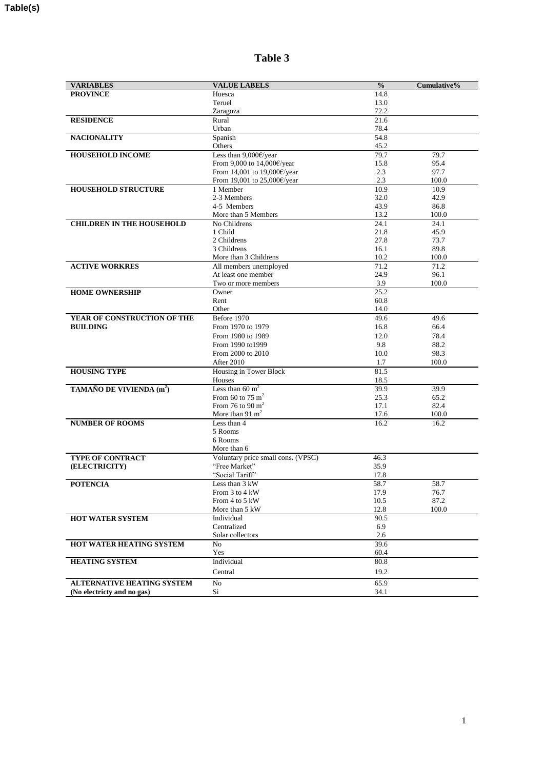| <b>VARIABLES</b>                     | <b>VALUE LABELS</b>                           | $\frac{0}{0}$ | Cumulative%   |
|--------------------------------------|-----------------------------------------------|---------------|---------------|
| <b>PROVINCE</b>                      | Huesca                                        | 14.8          |               |
|                                      | Teruel                                        | 13.0          |               |
|                                      | Zaragoza                                      | 72.2          |               |
| <b>RESIDENCE</b>                     | Rural                                         | 21.6          |               |
|                                      | Urban                                         | 78.4          |               |
| <b>NACIONALITY</b>                   | Spanish                                       | 54.8          |               |
|                                      | Others                                        | 45.2          |               |
| <b>HOUSEHOLD INCOME</b>              | Less than 9,000€/year                         | 79.7          | 79.7          |
|                                      | From 9,000 to 14,000€/year                    | 15.8          | 95.4          |
|                                      | From 14,001 to 19,000€/year                   | 2.3           | 97.7          |
|                                      | From 19,001 to 25,000€/year                   | 2.3           | 100.0         |
| <b>HOUSEHOLD STRUCTURE</b>           | 1 Member                                      | 10.9          | 10.9          |
|                                      | 2-3 Members                                   | 32.0          | 42.9          |
|                                      | 4-5 Members                                   | 43.9          | 86.8          |
|                                      | More than 5 Members                           | 13.2          | 100.0         |
| <b>CHILDREN IN THE HOUSEHOLD</b>     | No Childrens                                  | 24.1          | 24.1          |
|                                      | 1 Child                                       | 21.8          | 45.9          |
|                                      | 2 Childrens                                   | 27.8          | 73.7          |
|                                      | 3 Childrens                                   | 16.1          | 89.8          |
| <b>ACTIVE WORKRES</b>                | More than 3 Childrens                         | 10.2<br>71.2  | 100.0<br>71.2 |
|                                      | All members unemployed<br>At least one member | 24.9          | 96.1          |
|                                      | Two or more members                           | 3.9           | 100.0         |
| <b>HOME OWNERSHIP</b>                | Owner                                         | 25.2          |               |
|                                      | Rent                                          | 60.8          |               |
|                                      | Other                                         | 14.0          |               |
| YEAR OF CONSTRUCTION OF THE          | Before 1970                                   | 49.6          | 49.6          |
| <b>BUILDING</b>                      | From 1970 to 1979                             | 16.8          | 66.4          |
|                                      | From 1980 to 1989                             | 12.0          | 78.4          |
|                                      | From 1990 to1999                              | 9.8           | 88.2          |
|                                      | From 2000 to 2010                             | 10.0          | 98.3          |
|                                      | After 2010                                    | 1.7           | 100.0         |
| <b>HOUSING TYPE</b>                  | Housing in Tower Block                        | 81.5          |               |
|                                      | Houses                                        | 18.5          |               |
| TAMAÑO DE VIVIENDA (m <sup>2</sup> ) | Less than 60 $m2$                             | 39.9          | 39.9          |
|                                      | From 60 to 75 $m2$                            | 25.3          | 65.2          |
|                                      | From 76 to 90 $m2$                            | 17.1          | 82.4          |
|                                      | More than 91 $m2$                             | 17.6          | 100.0         |
| <b>NUMBER OF ROOMS</b>               | Less than 4                                   | 16.2          | 16.2          |
|                                      | 5 Rooms                                       |               |               |
|                                      | 6 Rooms                                       |               |               |
|                                      | More than 6                                   |               |               |
| <b>TYPE OF CONTRACT</b>              | Voluntary price small cons. (VPSC)            | 46.3          |               |
| (ELECTRICITY)                        | "Free Market"                                 | 35.9          |               |
|                                      | "Social Tariff"                               | 17.8          |               |
| <b>POTENCIA</b>                      | Less than 3 kW                                | 58.7          | 58.7          |
|                                      | From 3 to 4 kW                                | 17.9          | 76.7          |
|                                      | From 4 to 5 kW                                | 10.5          | 87.2          |
|                                      | More than 5 kW                                | 12.8          | 100.0         |
| HOT WATER SYSTEM                     | Individual                                    | 90.5          |               |
|                                      | Centralized                                   | 6.9           |               |
| <b>HOT WATER HEATING SYSTEM</b>      | Solar collectors                              | 2.6<br>39.6   |               |
|                                      | N <sub>o</sub><br>Yes                         | 60.4          |               |
| <b>HEATING SYSTEM</b>                | Individual                                    | 80.8          |               |
|                                      |                                               |               |               |
|                                      | Central                                       | 19.2          |               |
| <b>ALTERNATIVE HEATING SYSTEM</b>    | No                                            | 65.9          |               |
| (No electricty and no gas)           | Si                                            | 34.1          |               |